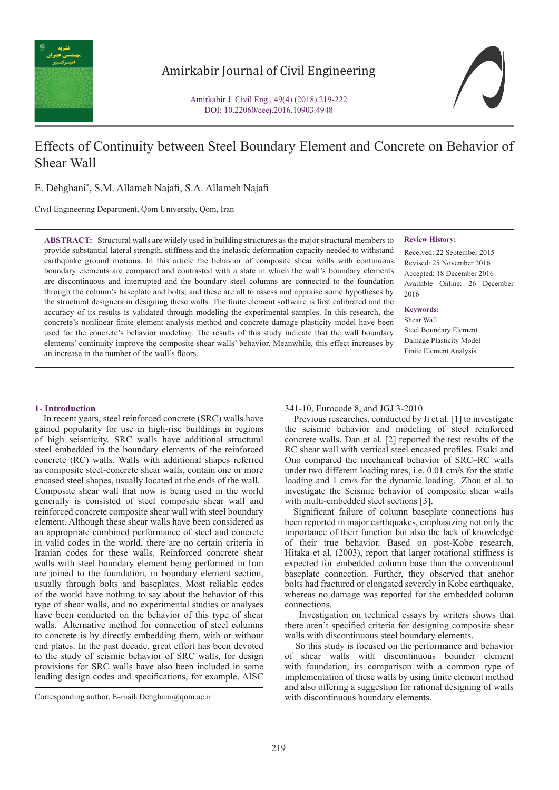

# Amirkabir Journal of Civil Engineering

Amirkabir J. Civil Eng., 49(4) (2018) 219-222 DOI: 10.22060/ceej.2016.10903.4948

# Effects of Continuity between Steel Boundary Element and Concrete on Behavior of Shear Wall

E. Dehghani\* , S.M. Allameh Najafi, S.A. Allameh Najafi

Civil Engineering Department, Qom University, Qom, Iran

**ABSTRACT:** Structural walls are widely used in building structures as the major structural members to provide substantial lateral strength, stiffness and the inelastic deformation capacity needed to withstand earthquake ground motions. In this article the behavior of composite shear walls with continuous boundary elements are compared and contrasted with a state in which the wall's boundary elements are discontinuous and interrupted and the boundary steel columns are connected to the foundation through the column's baseplate and bolts; and these are all to assess and appraise some hypotheses by the structural designers in designing these walls. The finite element software is first calibrated and the accuracy of its results is validated through modeling the experimental samples. In this research, the concrete's nonlinear finite element analysis method and concrete damage plasticity model have been used for the concrete's behavior modeling. The results of this study indicate that the wall boundary elements' continuity improve the composite shear walls' behavior. Meanwhile, this effect increases by an increase in the number of the wall's floors.

#### **Review History:**

Received: 22 September 2015 Revised: 25 November 2016 Accepted: 18 December 2016 Available Online: 26 December 2016

**Keywords:** Shear Wall Steel Boundary Element Damage Plasticity Model Finite Element Analysis.

# **1- Introduction**

 In recent years, steel reinforced concrete (SRC) walls have gained popularity for use in high-rise buildings in regions of high seismicity. SRC walls have additional structural steel embedded in the boundary elements of the reinforced concrete (RC) walls. Walls with additional shapes referred as composite steel-concrete shear walls, contain one or more encased steel shapes, usually located at the ends of the wall. Composite shear wall that now is being used in the world generally is consisted of steel composite shear wall and reinforced concrete composite shear wall with steel boundary element. Although these shear walls have been considered as an appropriate combined performance of steel and concrete in valid codes in the world, there are no certain criteria in Iranian codes for these walls. Reinforced concrete shear walls with steel boundary element being performed in Iran are joined to the foundation, in boundary element section, usually through bolts and baseplates. Most reliable codes of the world have nothing to say about the behavior of this type of shear walls, and no experimental studies or analyses have been conducted on the behavior of this type of shear walls. Alternative method for connection of steel columns to concrete is by directly embedding them, with or without end plates. In the past decade, great effort has been devoted to the study of seismic behavior of SRC walls, for design provisions for SRC walls have also been included in some leading design codes and specifications, for example, AISC

341-10, Eurocode 8, and JGJ 3-2010.

 Previous researches, conducted by Ji et al. [1] to investigate the seismic behavior and modeling of steel reinforced concrete walls. Dan et al. [2] reported the test results of the RC shear wall with vertical steel encased profiles. Esaki and Ono compared the mechanical behavior of SRC–RC walls under two different loading rates, i.e. 0.01 cm/s for the static loading and 1 cm/s for the dynamic loading. Zhou et al. to investigate the Seismic behavior of composite shear walls with multi-embedded steel sections [3].

 Significant failure of column baseplate connections has been reported in major earthquakes, emphasizing not only the importance of their function but also the lack of knowledge of their true behavior. Based on post-Kobe research, Hitaka et al. (2003), report that larger rotational stiffness is expected for embedded column base than the conventional baseplate connection. Further, they observed that anchor bolts had fractured or elongated severely in Kobe earthquake, whereas no damage was reported for the embedded column connections.

 Investigation on technical essays by writers shows that there aren't specified criteria for designing composite shear walls with discontinuous steel boundary elements.

 So this study is focused on the performance and behavior of shear walls with discontinuous bounder element with foundation, its comparison with a common type of implementation of these walls by using finite element method and also offering a suggestion for rational designing of walls

Corresponding author, E-mail: Dehghani@qom.ac.ir with discontinuous boundary elements.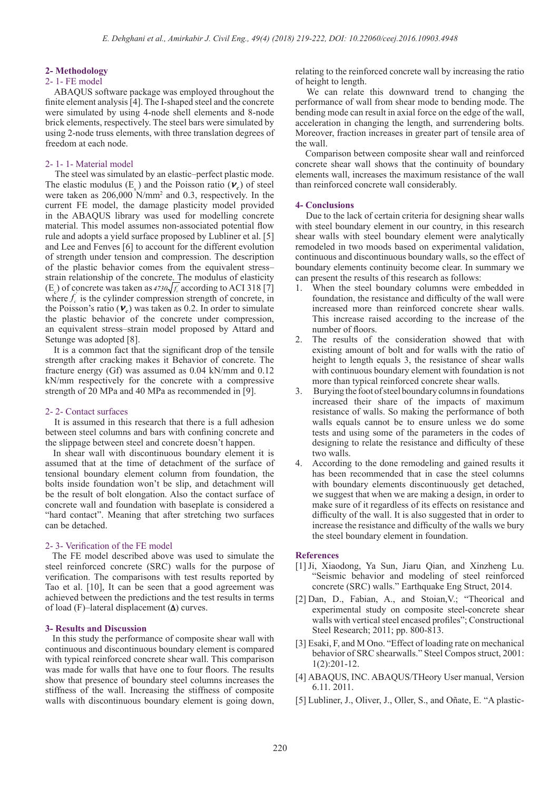#### **2- Methodology**

## 2- 1- FE model

 ABAQUS software package was employed throughout the finite element analysis [4]. The I-shaped steel and the concrete were simulated by using 4-node shell elements and 8-node brick elements, respectively. The steel bars were simulated by using 2-node truss elements, with three translation degrees of freedom at each node.

## 2- 1- 1- Material model

 The steel was simulated by an elastic–perfect plastic mode. The elastic modulus  $(E_s)$  and the Poisson ratio  $(\nu_c)$  of steel were taken as 206,000 N/mm2 and 0.3, respectively. In the current FE model, the damage plasticity model provided in the ABAQUS library was used for modelling concrete material. This model assumes non-associated potential flow rule and adopts a yield surface proposed by Lubliner et al. [5] and Lee and Fenves [6] to account for the different evolution of strength under tension and compression. The description of the plastic behavior comes from the equivalent stress– strain relationship of the concrete. The modulus of elasticity  $(E_c)$  of concrete was taken as  $4730\sqrt{f_c}$  according to ACI 318 [7] where  $f_c$  is the cylinder compression strength of concrete, in the Poisson's ratio  $(v_c)$  was taken as 0.2. In order to simulate the plastic behavior of the concrete under compression, an equivalent stress–strain model proposed by Attard and Setunge was adopted [8].

 It is a common fact that the significant drop of the tensile strength after cracking makes it Behavior of concrete. The fracture energy (Gf) was assumed as 0.04 kN/mm and 0.12 kN/mm respectively for the concrete with a compressive strength of 20 MPa and 40 MPa as recommended in [9].

#### 2- 2- Contact surfaces

 It is assumed in this research that there is a full adhesion between steel columns and bars with confining concrete and the slippage between steel and concrete doesn't happen.

 In shear wall with discontinuous boundary element it is assumed that at the time of detachment of the surface of tensional boundary element column from foundation, the bolts inside foundation won't be slip, and detachment will be the result of bolt elongation. Also the contact surface of concrete wall and foundation with baseplate is considered a "hard contact". Meaning that after stretching two surfaces can be detached.

# 2- 3- Verification of the FE model

 The FE model described above was used to simulate the steel reinforced concrete (SRC) walls for the purpose of verification. The comparisons with test results reported by Tao et al. [10], It can be seen that a good agreement was achieved between the predictions and the test results in terms of load (F)–lateral displacement  $(\Delta)$  curves.

#### **3- Results and Discussion**

 In this study the performance of composite shear wall with continuous and discontinuous boundary element is compared with typical reinforced concrete shear wall. This comparison was made for walls that have one to four floors. The results show that presence of boundary steel columns increases the stiffness of the wall. Increasing the stiffness of composite walls with discontinuous boundary element is going down, relating to the reinforced concrete wall by increasing the ratio of height to length.

 We can relate this downward trend to changing the performance of wall from shear mode to bending mode. The bending mode can result in axial force on the edge of the wall, acceleration in changing the length, and surrendering bolts. Moreover, fraction increases in greater part of tensile area of the wall.

 Comparison between composite shear wall and reinforced concrete shear wall shows that the continuity of boundary elements wall, increases the maximum resistance of the wall than reinforced concrete wall considerably.

#### **4- Conclusions**

 Due to the lack of certain criteria for designing shear walls with steel boundary element in our country, in this research shear walls with steel boundary element were analytically remodeled in two moods based on experimental validation, continuous and discontinuous boundary walls, so the effect of boundary elements continuity become clear. In summary we can present the results of this research as follows:

- 1. When the steel boundary columns were embedded in foundation, the resistance and difficulty of the wall were increased more than reinforced concrete shear walls. This increase raised according to the increase of the number of floors.
- 2. The results of the consideration showed that with existing amount of bolt and for walls with the ratio of height to length equals 3, the resistance of shear walls with continuous boundary element with foundation is not more than typical reinforced concrete shear walls.
- 3. Burying the foot of steel boundary columns in foundations increased their share of the impacts of maximum resistance of walls. So making the performance of both walls equals cannot be to ensure unless we do some tests and using some of the parameters in the codes of designing to relate the resistance and difficulty of these two walls.
- 4. According to the done remodeling and gained results it has been recommended that in case the steel columns with boundary elements discontinuously get detached, we suggest that when we are making a design, in order to make sure of it regardless of its effects on resistance and difficulty of the wall. It is also suggested that in order to increase the resistance and difficulty of the walls we bury the steel boundary element in foundation.

#### **References**

- [1] Ji, Xiaodong, Ya Sun, Jiaru Qian, and Xinzheng Lu. "Seismic behavior and modeling of steel reinforced concrete (SRC) walls." Earthquake Eng Struct, 2014.
- [2] Dan, D., Fabian, A., and Stoian,V.; "Theorical and experimental study on composite steel-concrete shear walls with vertical steel encased profiles"; Constructional Steel Research; 2011; pp. 800-813.
- [3] Esaki, F, and M Ono. "Effect of loading rate on mechanical behavior of SRC shearwalls." Steel Compos struct, 2001: 1(2):201-12.
- [4] ABAQUS, INC. ABAQUS/THeory User manual, Version 6.11. 2011.
- [5] Lubliner, J., Oliver, J., Oller, S., and Oñate, E. "A plastic-